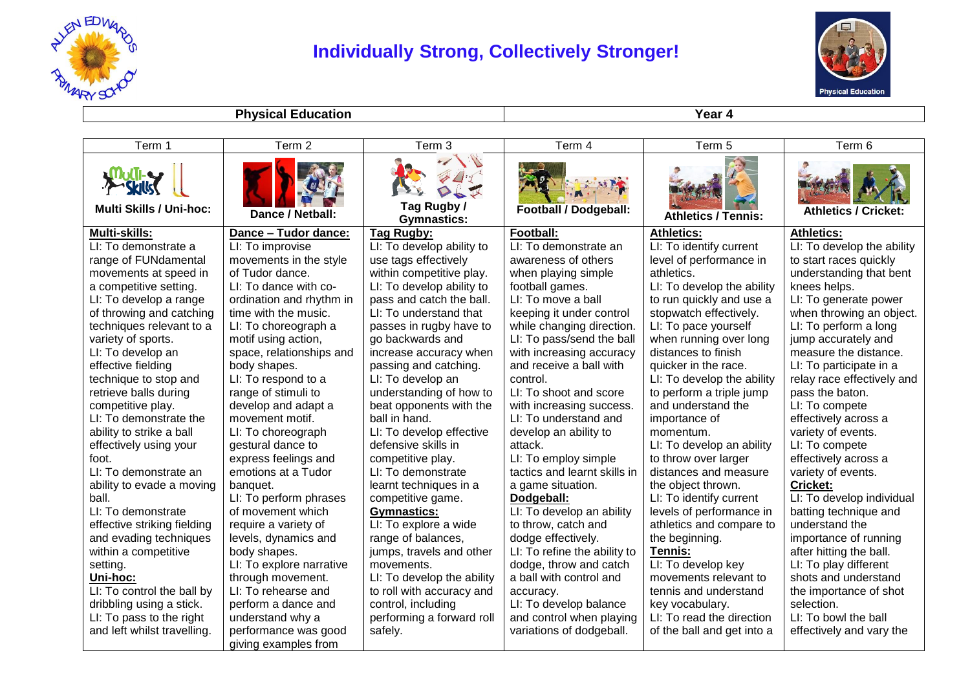

## **Individually Strong, Collectively Stronger!**



**Physical Education Year 4** 

| Term 1                                                              | Term 2                   | Term <sub>3</sub>                | Term 4                       | Term 5                     | Term 6                      |
|---------------------------------------------------------------------|--------------------------|----------------------------------|------------------------------|----------------------------|-----------------------------|
| <b>dikkli-es</b><br>$\sim$ Skills<br><b>Multi Skills / Uni-hoc:</b> | Dance / Netball:         | Tag Rugby/<br><b>Gymnastics:</b> | <b>Football / Dodgeball:</b> | <b>Athletics / Tennis:</b> | <b>Athletics / Cricket:</b> |
| <b>Multi-skills:</b>                                                | Dance - Tudor dance:     | Tag Rugby:                       | Football:                    | Athletics:                 | <b>Athletics:</b>           |
| LI: To demonstrate a                                                | LI: To improvise         | LI: To develop ability to        | LI: To demonstrate an        | LI: To identify current    | LI: To develop the ability  |
| range of FUNdamental                                                | movements in the style   | use tags effectively             | awareness of others          | level of performance in    | to start races quickly      |
| movements at speed in                                               | of Tudor dance.          | within competitive play.         | when playing simple          | athletics.                 | understanding that bent     |
| a competitive setting.                                              | LI: To dance with co-    | LI: To develop ability to        | football games.              | LI: To develop the ability | knees helps.                |
| LI: To develop a range                                              | ordination and rhythm in | pass and catch the ball.         | LI: To move a ball           | to run quickly and use a   | LI: To generate power       |
| of throwing and catching                                            | time with the music.     | LI: To understand that           | keeping it under control     | stopwatch effectively.     | when throwing an object.    |
| techniques relevant to a                                            | LI: To choreograph a     | passes in rugby have to          | while changing direction.    | LI: To pace yourself       | LI: To perform a long       |
| variety of sports.                                                  | motif using action,      | go backwards and                 | LI: To pass/send the ball    | when running over long     | jump accurately and         |
| LI: To develop an                                                   | space, relationships and | increase accuracy when           | with increasing accuracy     | distances to finish        | measure the distance.       |
| effective fielding                                                  | body shapes.             | passing and catching.            | and receive a ball with      | quicker in the race.       | LI: To participate in a     |
| technique to stop and                                               | LI: To respond to a      | LI: To develop an                | control.                     | LI: To develop the ability | relay race effectively and  |
| retrieve balls during                                               | range of stimuli to      | understanding of how to          | LI: To shoot and score       | to perform a triple jump   | pass the baton.             |
| competitive play.                                                   | develop and adapt a      | beat opponents with the          | with increasing success.     | and understand the         | LI: To compete              |
| LI: To demonstrate the                                              | movement motif.          | ball in hand.                    | LI: To understand and        | importance of              | effectively across a        |
| ability to strike a ball                                            | LI: To choreograph       | LI: To develop effective         | develop an ability to        | momentum.                  | variety of events.          |
| effectively using your                                              | gestural dance to        | defensive skills in              | attack.                      | LI: To develop an ability  | LI: To compete              |
| foot.                                                               | express feelings and     | competitive play.                | LI: To employ simple         | to throw over larger       | effectively across a        |
| LI: To demonstrate an                                               | emotions at a Tudor      | LI: To demonstrate               | tactics and learnt skills in | distances and measure      | variety of events.          |
| ability to evade a moving                                           | banquet.                 | learnt techniques in a           | a game situation.            | the object thrown.         | <b>Cricket:</b>             |
| ball.                                                               | LI: To perform phrases   | competitive game.                | Dodgeball:                   | LI: To identify current    | LI: To develop individual   |
| LI: To demonstrate                                                  | of movement which        | <b>Gymnastics:</b>               | LI: To develop an ability    | levels of performance in   | batting technique and       |
| effective striking fielding                                         | require a variety of     | LI: To explore a wide            | to throw, catch and          | athletics and compare to   | understand the              |
| and evading techniques                                              | levels, dynamics and     | range of balances,               | dodge effectively.           | the beginning.             | importance of running       |
| within a competitive                                                | body shapes.             | jumps, travels and other         | LI: To refine the ability to | Tennis:                    | after hitting the ball.     |
| setting.                                                            | LI: To explore narrative | movements.                       | dodge, throw and catch       | LI: To develop key         | LI: To play different       |
| Uni-hoc:                                                            | through movement.        | LI: To develop the ability       | a ball with control and      | movements relevant to      | shots and understand        |
| LI: To control the ball by                                          | LI: To rehearse and      | to roll with accuracy and        | accuracy.                    | tennis and understand      | the importance of shot      |
| dribbling using a stick.                                            | perform a dance and      | control, including               | LI: To develop balance       | key vocabulary.            | selection.                  |
| LI: To pass to the right                                            | understand why a         | performing a forward roll        | and control when playing     | LI: To read the direction  | LI: To bowl the ball        |
| and left whilst travelling.                                         | performance was good     | safely.                          | variations of dodgeball.     | of the ball and get into a | effectively and vary the    |
|                                                                     | giving examples from     |                                  |                              |                            |                             |